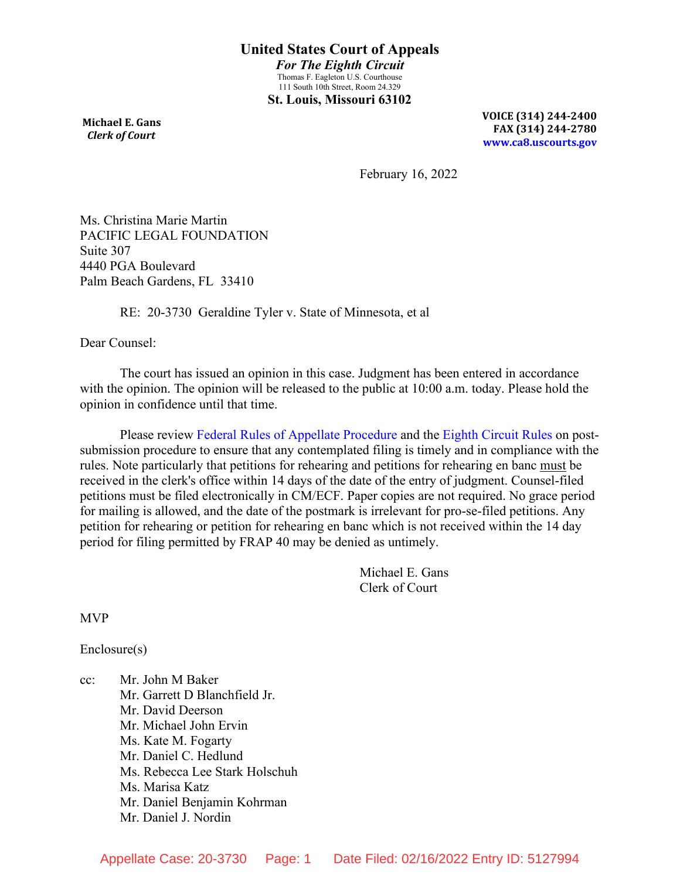**Michael E. Gans**  *Clerk of Court*

**VOICE (314) 244-2400 FAX (314) 244-2780 [www.ca8.uscourts.gov](http://www.ca8.uscourts.gov/)**

February 16, 2022

Ms. Christina Marie Martin PACIFIC LEGAL FOUNDATION Suite 307 4440 PGA Boulevard Palm Beach Gardens, FL 33410

RE: 20-3730 Geraldine Tyler v. State of Minnesota, et al

Dear Counsel:

The court has issued an opinion in this case. Judgment has been entered in accordance with the opinion. The opinion will be released to the public at 10:00 a.m. today. Please hold the opinion in confidence until that time.

Please review [Federal Rules of Appellate Procedure](http://www.uscourts.gov/uscourts/rules/appellate-procedure.pdf) and the [Eighth Circuit Rules](http://media.ca8.uscourts.gov/newrules/coa/localrules.pdf) on postsubmission procedure to ensure that any contemplated filing is timely and in compliance with the rules. Note particularly that petitions for rehearing and petitions for rehearing en banc must be received in the clerk's office within 14 days of the date of the entry of judgment. Counsel-filed petitions must be filed electronically in CM/ECF. Paper copies are not required. No grace period for mailing is allowed, and the date of the postmark is irrelevant for pro-se-filed petitions. Any petition for rehearing or petition for rehearing en banc which is not received within the 14 day period for filing permitted by FRAP 40 may be denied as untimely.

> Michael E. Gans Clerk of Court

MVP

Enclosure(s)

cc: Mr. John M Baker Mr. Garrett D Blanchfield Jr. Mr. David Deerson Mr. Michael John Ervin Ms. Kate M. Fogarty Mr. Daniel C. Hedlund Ms. Rebecca Lee Stark Holschuh Ms. Marisa Katz Mr. Daniel Benjamin Kohrman Mr. Daniel J. Nordin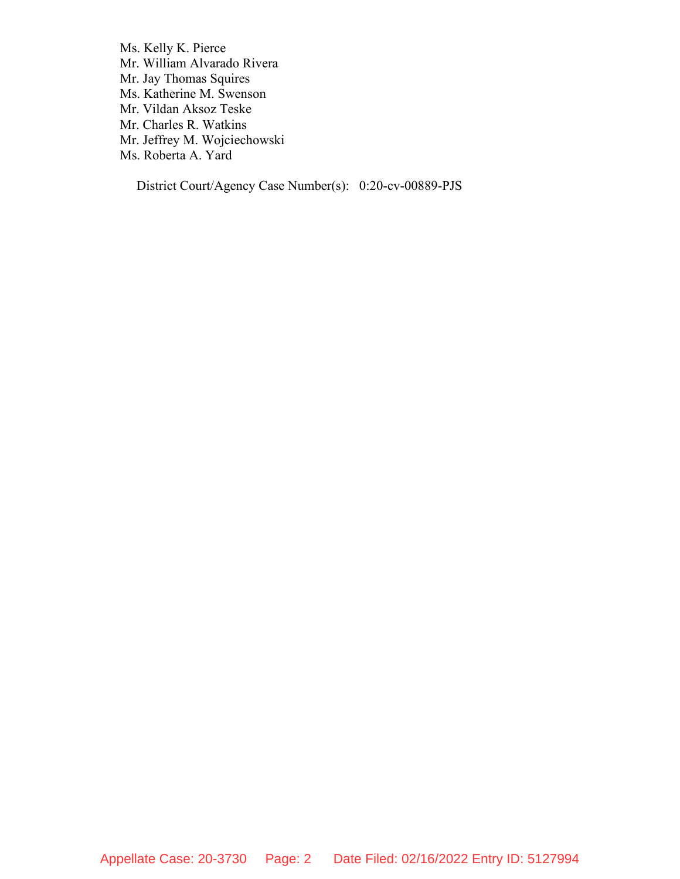Ms. Kelly K. Pierce Mr. William Alvarado Rivera Mr. Jay Thomas Squires Ms. Katherine M. Swenson Mr. Vildan Aksoz Teske Mr. Charles R. Watkins Mr. Jeffrey M. Wojciechowski Ms. Roberta A. Yard

District Court/Agency Case Number(s): 0:20-cv-00889-PJS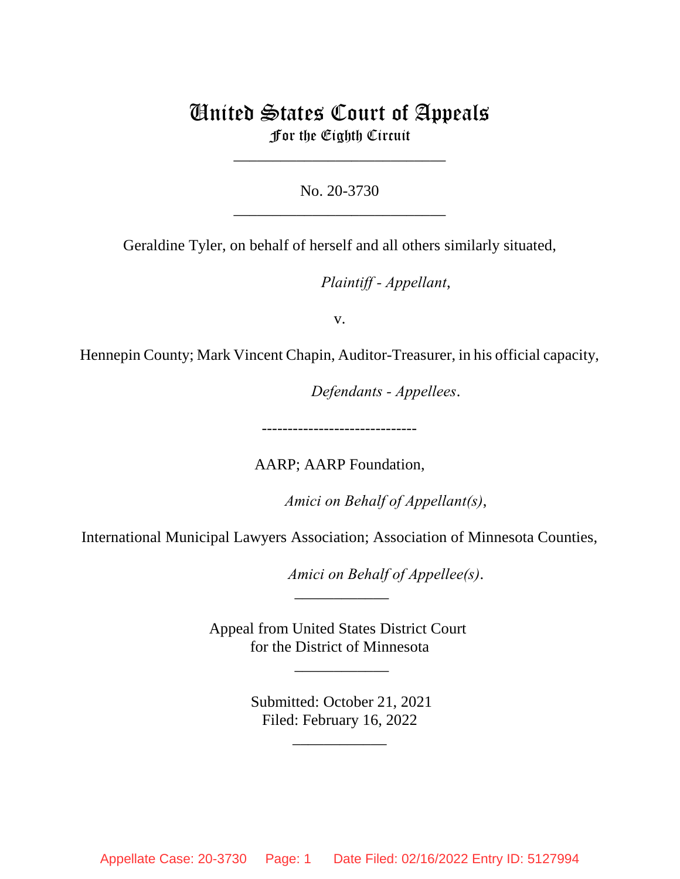# United States Court of Appeals For the Eighth Circuit

\_\_\_\_\_\_\_\_\_\_\_\_\_\_\_\_\_\_\_\_\_\_\_\_\_\_\_

No. 20-3730 \_\_\_\_\_\_\_\_\_\_\_\_\_\_\_\_\_\_\_\_\_\_\_\_\_\_\_

Geraldine Tyler, on behalf of herself and all others similarly situated,

lllllllllllllllllllll*Plaintiff - Appellant*,

v.

Hennepin County; Mark Vincent Chapin, Auditor-Treasurer, in his official capacity,

lllllllllllllllllllll*Defendants - Appellees*.

------------------------------

AARP; AARP Foundation,

*Amici on Behalf of Appellant(s)*,

International Municipal Lawyers Association; Association of Minnesota Counties,

*Amici on Behalf of Appellee(s).* 

Appeal from United States District Court for the District of Minnesota

\_\_\_\_\_\_\_\_\_\_\_\_

 $\overline{\phantom{a}}$ 

 Submitted: October 21, 2021 Filed: February 16, 2022

\_\_\_\_\_\_\_\_\_\_\_\_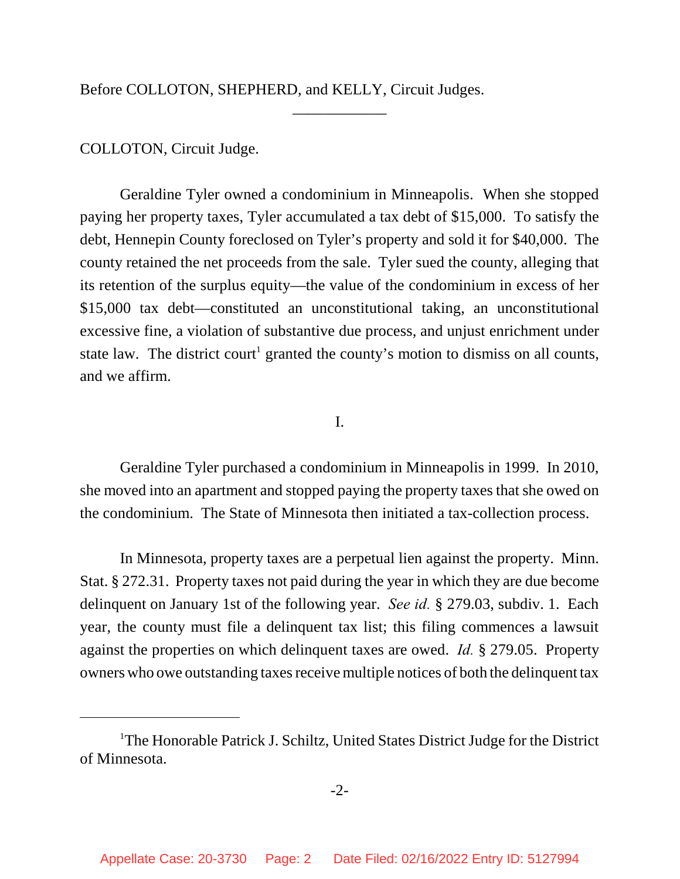Before COLLOTON, SHEPHERD, and KELLY, Circuit Judges.

# COLLOTON, Circuit Judge.

Geraldine Tyler owned a condominium in Minneapolis. When she stopped paying her property taxes, Tyler accumulated a tax debt of \$15,000. To satisfy the debt, Hennepin County foreclosed on Tyler's property and sold it for \$40,000. The county retained the net proceeds from the sale. Tyler sued the county, alleging that its retention of the surplus equity—the value of the condominium in excess of her \$15,000 tax debt—constituted an unconstitutional taking, an unconstitutional excessive fine, a violation of substantive due process, and unjust enrichment under state law. The district court<sup>1</sup> granted the county's motion to dismiss on all counts, and we affirm.

\_\_\_\_\_\_\_\_\_\_\_\_

### I.

Geraldine Tyler purchased a condominium in Minneapolis in 1999. In 2010, she moved into an apartment and stopped paying the property taxes that she owed on the condominium. The State of Minnesota then initiated a tax-collection process.

In Minnesota, property taxes are a perpetual lien against the property. Minn. Stat. § 272.31. Property taxes not paid during the year in which they are due become delinquent on January 1st of the following year. *See id.* § 279.03, subdiv. 1. Each year, the county must file a delinquent tax list; this filing commences a lawsuit against the properties on which delinquent taxes are owed. *Id.* § 279.05. Property owners who owe outstanding taxes receive multiple notices of both the delinquent tax

<sup>&</sup>lt;sup>1</sup>The Honorable Patrick J. Schiltz, United States District Judge for the District of Minnesota.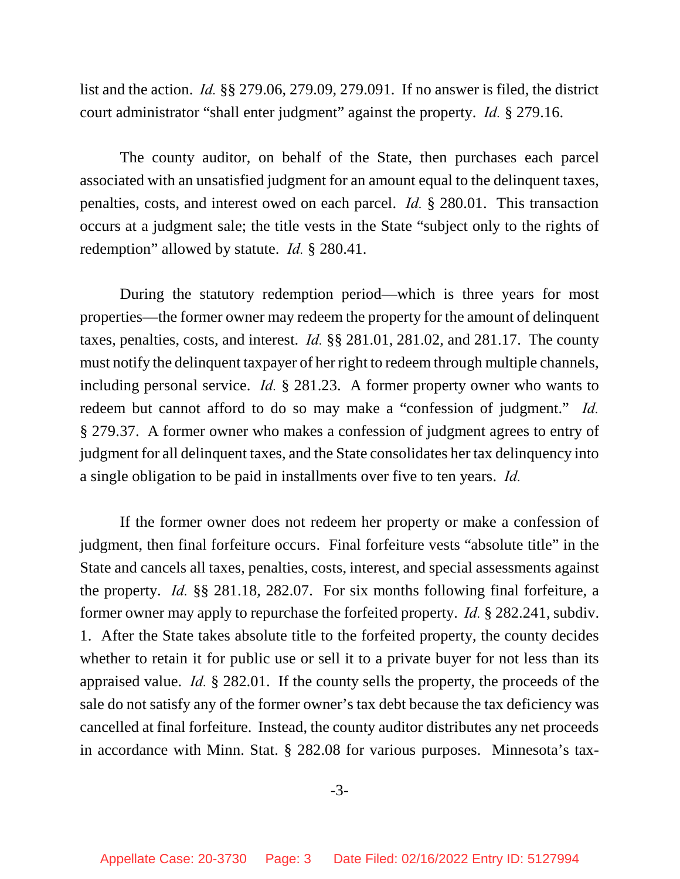list and the action. *Id.* §§ 279.06, 279.09, 279.091. If no answer is filed, the district court administrator "shall enter judgment" against the property. *Id.* § 279.16.

The county auditor, on behalf of the State, then purchases each parcel associated with an unsatisfied judgment for an amount equal to the delinquent taxes, penalties, costs, and interest owed on each parcel. *Id.* § 280.01. This transaction occurs at a judgment sale; the title vests in the State "subject only to the rights of redemption" allowed by statute. *Id.* § 280.41.

During the statutory redemption period—which is three years for most properties—the former owner may redeem the property for the amount of delinquent taxes, penalties, costs, and interest. *Id.* §§ 281.01, 281.02, and 281.17. The county must notify the delinquent taxpayer of her right to redeem through multiple channels, including personal service. *Id.* § 281.23. A former property owner who wants to redeem but cannot afford to do so may make a "confession of judgment." *Id.* § 279.37. A former owner who makes a confession of judgment agrees to entry of judgment for all delinquent taxes, and the State consolidates her tax delinquency into a single obligation to be paid in installments over five to ten years. *Id.*

If the former owner does not redeem her property or make a confession of judgment, then final forfeiture occurs. Final forfeiture vests "absolute title" in the State and cancels all taxes, penalties, costs, interest, and special assessments against the property. *Id.* §§ 281.18, 282.07.For six months following final forfeiture, a former owner may apply to repurchase the forfeited property. *Id.* § 282.241, subdiv. 1. After the State takes absolute title to the forfeited property, the county decides whether to retain it for public use or sell it to a private buyer for not less than its appraised value. *Id.* § 282.01. If the county sells the property, the proceeds of the sale do not satisfy any of the former owner's tax debt because the tax deficiency was cancelled at final forfeiture. Instead, the county auditor distributes any net proceeds in accordance with Minn. Stat. § 282.08 for various purposes. Minnesota's tax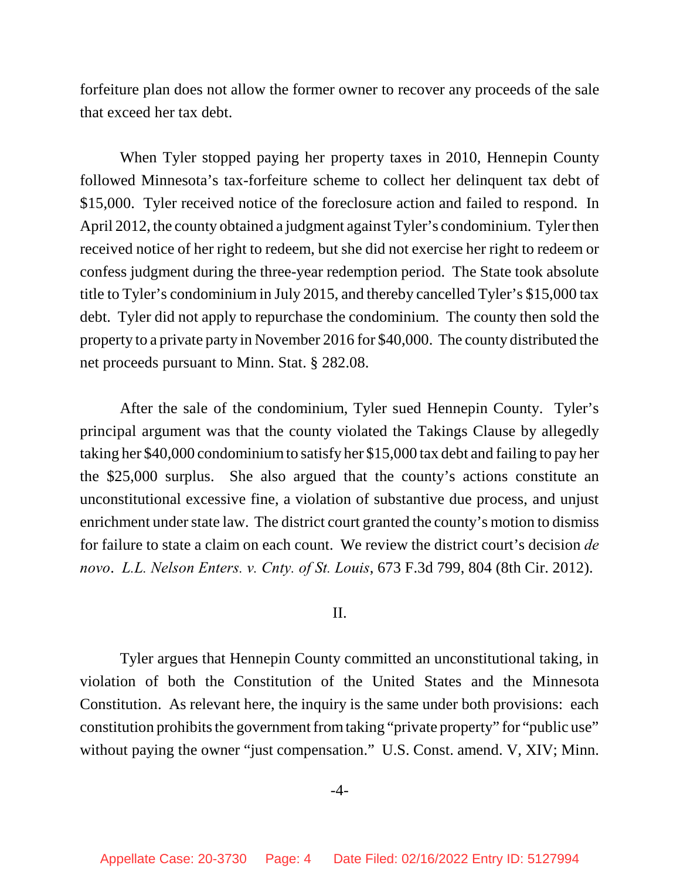forfeiture plan does not allow the former owner to recover any proceeds of the sale that exceed her tax debt.

When Tyler stopped paying her property taxes in 2010, Hennepin County followed Minnesota's tax-forfeiture scheme to collect her delinquent tax debt of \$15,000. Tyler received notice of the foreclosure action and failed to respond. In April 2012, the county obtained a judgment against Tyler's condominium. Tyler then received notice of her right to redeem, but she did not exercise her right to redeem or confess judgment during the three-year redemption period. The State took absolute title to Tyler's condominium in July 2015, and thereby cancelled Tyler's \$15,000 tax debt. Tyler did not apply to repurchase the condominium. The county then sold the property to a private party in November 2016 for \$40,000. The county distributed the net proceeds pursuant to Minn. Stat. § 282.08.

After the sale of the condominium, Tyler sued Hennepin County. Tyler's principal argument was that the county violated the Takings Clause by allegedly taking her \$40,000 condominium to satisfy her \$15,000 tax debt and failing to pay her the \$25,000 surplus. She also argued that the county's actions constitute an unconstitutional excessive fine, a violation of substantive due process, and unjust enrichment under state law. The district court granted the county's motion to dismiss for failure to state a claim on each count. We review the district court's decision *de novo*. *L.L. Nelson Enters. v. Cnty. of St. Louis*, 673 F.3d 799, 804 (8th Cir. 2012).

#### II.

Tyler argues that Hennepin County committed an unconstitutional taking, in violation of both the Constitution of the United States and the Minnesota Constitution. As relevant here, the inquiry is the same under both provisions: each constitution prohibits the government from taking "private property" for "public use" without paying the owner "just compensation." U.S. Const. amend. V, XIV; Minn.

#### -4-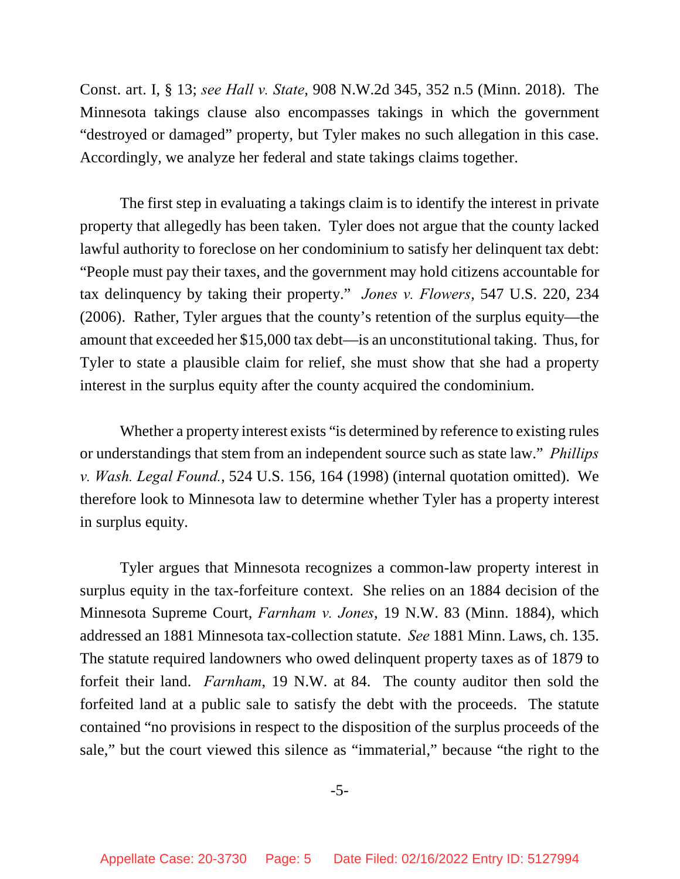Const. art. I, § 13; *see Hall v. State*, 908 N.W.2d 345, 352 n.5 (Minn. 2018). The Minnesota takings clause also encompasses takings in which the government "destroyed or damaged" property, but Tyler makes no such allegation in this case. Accordingly, we analyze her federal and state takings claims together.

The first step in evaluating a takings claim is to identify the interest in private property that allegedly has been taken. Tyler does not argue that the county lacked lawful authority to foreclose on her condominium to satisfy her delinquent tax debt: "People must pay their taxes, and the government may hold citizens accountable for tax delinquency by taking their property." *Jones v. Flowers*, 547 U.S. 220, 234 (2006). Rather, Tyler argues that the county's retention of the surplus equity—the amount that exceeded her \$15,000 tax debt—is an unconstitutional taking. Thus, for Tyler to state a plausible claim for relief, she must show that she had a property interest in the surplus equity after the county acquired the condominium.

Whether a property interest exists "is determined by reference to existing rules or understandings that stem from an independent source such as state law." *Phillips v. Wash. Legal Found.*, 524 U.S. 156, 164 (1998) (internal quotation omitted). We therefore look to Minnesota law to determine whether Tyler has a property interest in surplus equity.

Tyler argues that Minnesota recognizes a common-law property interest in surplus equity in the tax-forfeiture context. She relies on an 1884 decision of the Minnesota Supreme Court, *Farnham v. Jones*, 19 N.W. 83 (Minn. 1884), which addressed an 1881 Minnesota tax-collection statute. *See* 1881 Minn. Laws, ch. 135. The statute required landowners who owed delinquent property taxes as of 1879 to forfeit their land. *Farnham*, 19 N.W. at 84. The county auditor then sold the forfeited land at a public sale to satisfy the debt with the proceeds. The statute contained "no provisions in respect to the disposition of the surplus proceeds of the sale," but the court viewed this silence as "immaterial," because "the right to the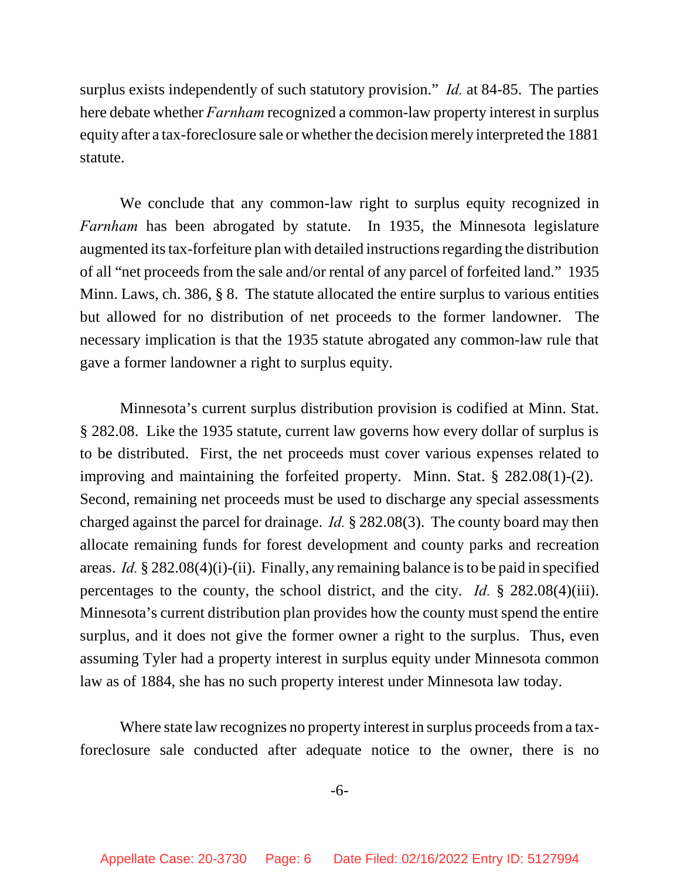surplus exists independently of such statutory provision." *Id.* at 84-85. The parties here debate whether *Farnham* recognized a common-law property interest in surplus equity after a tax-foreclosure sale or whether the decision merely interpreted the 1881 statute.

We conclude that any common-law right to surplus equity recognized in *Farnham* has been abrogated by statute. In 1935, the Minnesota legislature augmented its tax-forfeiture plan with detailed instructions regarding the distribution of all "net proceeds from the sale and/or rental of any parcel of forfeited land." 1935 Minn. Laws, ch. 386, § 8. The statute allocated the entire surplus to various entities but allowed for no distribution of net proceeds to the former landowner. The necessary implication is that the 1935 statute abrogated any common-law rule that gave a former landowner a right to surplus equity.

Minnesota's current surplus distribution provision is codified at Minn. Stat. § 282.08. Like the 1935 statute, current law governs how every dollar of surplus is to be distributed. First, the net proceeds must cover various expenses related to improving and maintaining the forfeited property. Minn. Stat. § 282.08(1)-(2). Second, remaining net proceeds must be used to discharge any special assessments charged against the parcel for drainage. *Id.* § 282.08(3). The county board may then allocate remaining funds for forest development and county parks and recreation areas. *Id.* § 282.08(4)(i)-(ii). Finally, any remaining balance is to be paid in specified percentages to the county, the school district, and the city. *Id.* § 282.08(4)(iii). Minnesota's current distribution plan provides how the county must spend the entire surplus, and it does not give the former owner a right to the surplus. Thus, even assuming Tyler had a property interest in surplus equity under Minnesota common law as of 1884, she has no such property interest under Minnesota law today.

Where state law recognizes no property interest in surplus proceeds from a taxforeclosure sale conducted after adequate notice to the owner, there is no

-6-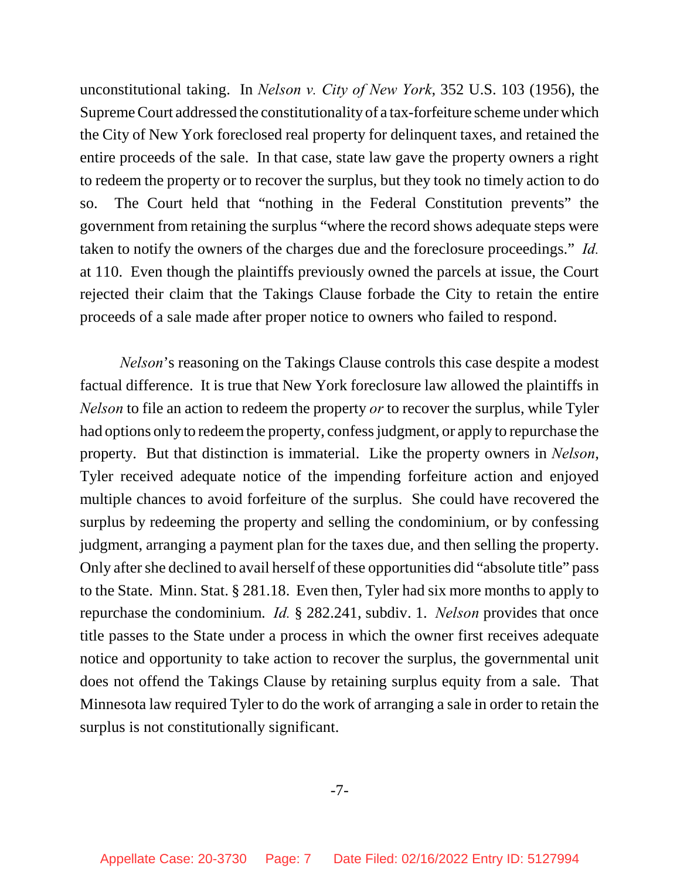unconstitutional taking. In *Nelson v. City of New York*, 352 U.S. 103 (1956), the Supreme Court addressed the constitutionality of a tax-forfeiture scheme under which the City of New York foreclosed real property for delinquent taxes, and retained the entire proceeds of the sale. In that case, state law gave the property owners a right to redeem the property or to recover the surplus, but they took no timely action to do so. The Court held that "nothing in the Federal Constitution prevents" the government from retaining the surplus "where the record shows adequate steps were taken to notify the owners of the charges due and the foreclosure proceedings." *Id.* at 110. Even though the plaintiffs previously owned the parcels at issue, the Court rejected their claim that the Takings Clause forbade the City to retain the entire proceeds of a sale made after proper notice to owners who failed to respond.

*Nelson*'s reasoning on the Takings Clause controls this case despite a modest factual difference. It is true that New York foreclosure law allowed the plaintiffs in *Nelson* to file an action to redeem the property *or* to recover the surplus, while Tyler had options only to redeem the property, confess judgment, or apply to repurchase the property. But that distinction is immaterial. Like the property owners in *Nelson*, Tyler received adequate notice of the impending forfeiture action and enjoyed multiple chances to avoid forfeiture of the surplus. She could have recovered the surplus by redeeming the property and selling the condominium, or by confessing judgment, arranging a payment plan for the taxes due, and then selling the property. Only after she declined to avail herself of these opportunities did "absolute title" pass to the State. Minn. Stat. § 281.18. Even then, Tyler had six more months to apply to repurchase the condominium. *Id.* § 282.241, subdiv. 1. *Nelson* provides that once title passes to the State under a process in which the owner first receives adequate notice and opportunity to take action to recover the surplus, the governmental unit does not offend the Takings Clause by retaining surplus equity from a sale. That Minnesota law required Tyler to do the work of arranging a sale in order to retain the surplus is not constitutionally significant.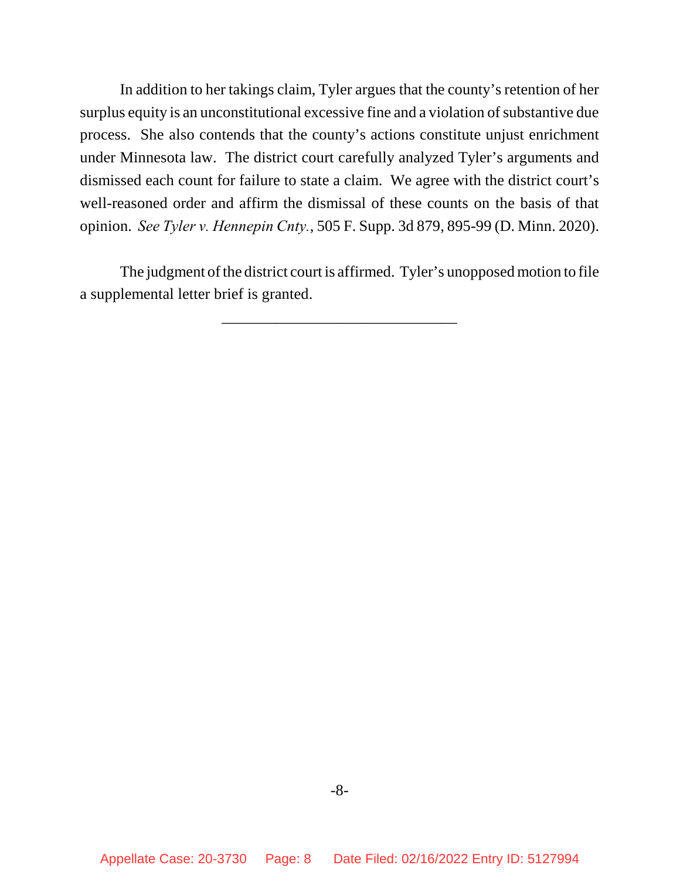In addition to her takings claim, Tyler argues that the county's retention of her surplus equity is an unconstitutional excessive fine and a violation of substantive due process. She also contends that the county's actions constitute unjust enrichment under Minnesota law. The district court carefully analyzed Tyler's arguments and dismissed each count for failure to state a claim. We agree with the district court's well-reasoned order and affirm the dismissal of these counts on the basis of that opinion. *See Tyler v. Hennepin Cnty.*, 505 F. Supp. 3d 879, 895-99 (D. Minn. 2020).

The judgment of the district court is affirmed. Tyler's unopposed motion to file a supplemental letter brief is granted.

\_\_\_\_\_\_\_\_\_\_\_\_\_\_\_\_\_\_\_\_\_\_\_\_\_\_\_\_\_\_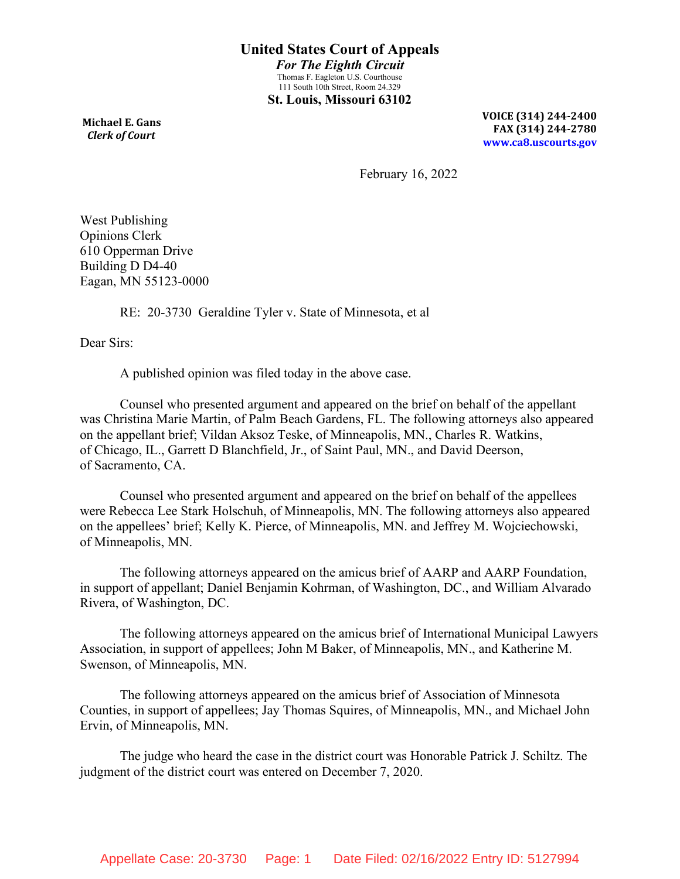**Michael E. Gans**  *Clerk of Court*

**VOICE (314) 244-2400 FAX (314) 244-2780 [www.ca8.uscourts.gov](http://www.ca8.uscourts.gov/)**

February 16, 2022

West Publishing Opinions Clerk 610 Opperman Drive Building D D4-40 Eagan, MN 55123-0000

RE: 20-3730 Geraldine Tyler v. State of Minnesota, et al

Dear Sirs:

A published opinion was filed today in the above case.

Counsel who presented argument and appeared on the brief on behalf of the appellant was Christina Marie Martin, of Palm Beach Gardens, FL. The following attorneys also appeared on the appellant brief; Vildan Aksoz Teske, of Minneapolis, MN., Charles R. Watkins, of Chicago, IL., Garrett D Blanchfield, Jr., of Saint Paul, MN., and David Deerson, of Sacramento, CA.

Counsel who presented argument and appeared on the brief on behalf of the appellees were Rebecca Lee Stark Holschuh, of Minneapolis, MN. The following attorneys also appeared on the appellees' brief; Kelly K. Pierce, of Minneapolis, MN. and Jeffrey M. Wojciechowski, of Minneapolis, MN.

The following attorneys appeared on the amicus brief of AARP and AARP Foundation, in support of appellant; Daniel Benjamin Kohrman, of Washington, DC., and William Alvarado Rivera, of Washington, DC.

The following attorneys appeared on the amicus brief of International Municipal Lawyers Association, in support of appellees; John M Baker, of Minneapolis, MN., and Katherine M. Swenson, of Minneapolis, MN.

The following attorneys appeared on the amicus brief of Association of Minnesota Counties, in support of appellees; Jay Thomas Squires, of Minneapolis, MN., and Michael John Ervin, of Minneapolis, MN.

The judge who heard the case in the district court was Honorable Patrick J. Schiltz. The judgment of the district court was entered on December 7, 2020.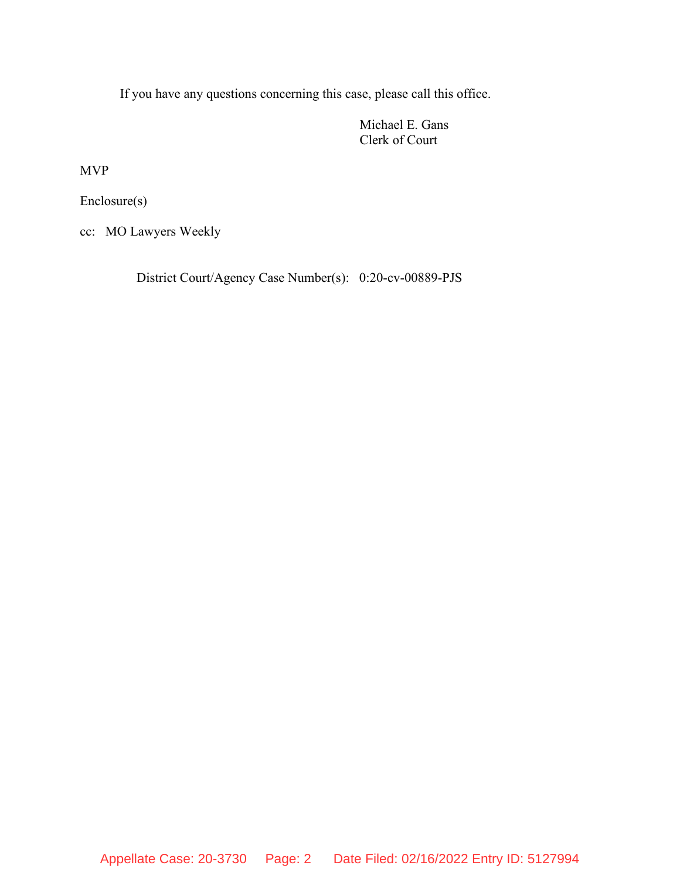If you have any questions concerning this case, please call this office.

Michael E. Gans Clerk of Court

MVP

Enclosure(s)

cc: MO Lawyers Weekly

District Court/Agency Case Number(s): 0:20-cv-00889-PJS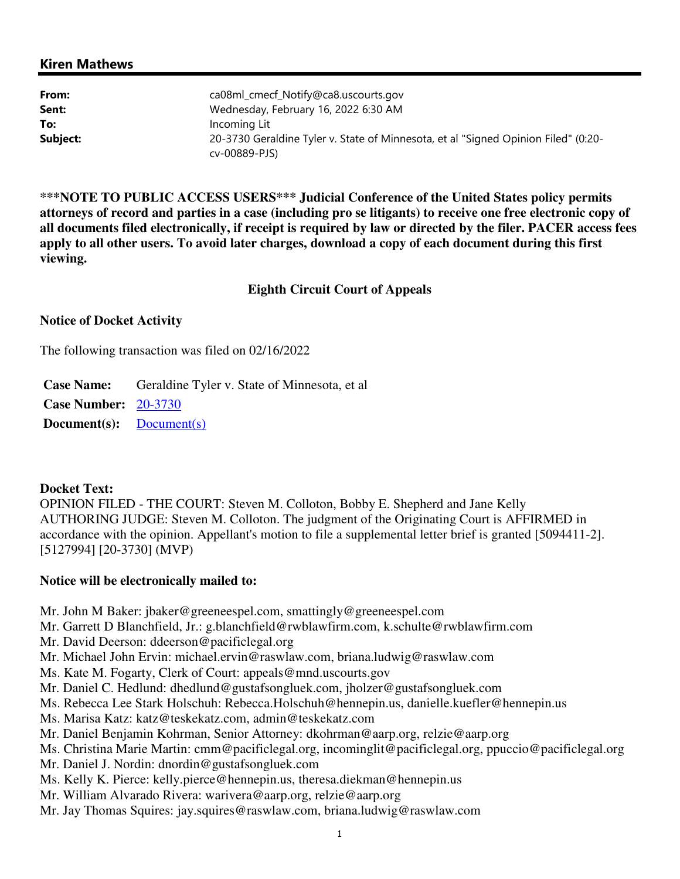#### Kiren Mathews

| From:    | ca08ml_cmecf_Notify@ca8.uscourts.gov                                                                |
|----------|-----------------------------------------------------------------------------------------------------|
| Sent:    | Wednesday, February 16, 2022 6:30 AM                                                                |
| To:      | Incoming Lit                                                                                        |
| Subject: | 20-3730 Geraldine Tyler v. State of Minnesota, et al "Signed Opinion Filed" (0:20-<br>cv-00889-PJS) |

**\*\*\*NOTE TO PUBLIC ACCESS USERS\*\*\* Judicial Conference of the United States policy permits attorneys of record and parties in a case (including pro se litigants) to receive one free electronic copy of all documents filed electronically, if receipt is required by law or directed by the filer. PACER access fees apply to all other users. To avoid later charges, download a copy of each document during this first viewing.**

#### **Eighth Circuit Court of Appeals**

#### **Notice of Docket Activity**

The following transaction was filed on 02/16/2022

**Case Name:** Geraldine Tyler v. State of Minnesota, et al **Case Number:** 20-3730 **Document(s):** Document(s)

#### **Docket Text:**

OPINION FILED - THE COURT: Steven M. Colloton, Bobby E. Shepherd and Jane Kelly AUTHORING JUDGE: Steven M. Colloton. The judgment of the Originating Court is AFFIRMED in accordance with the opinion. Appellant's motion to file a supplemental letter brief is granted [5094411-2]. [5127994] [20-3730] (MVP)

#### **Notice will be electronically mailed to:**

- Mr. John M Baker: jbaker@greeneespel.com, smattingly@greeneespel.com
- Mr. Garrett D Blanchfield, Jr.: g.blanchfield@rwblawfirm.com, k.schulte@rwblawfirm.com
- Mr. David Deerson: ddeerson@pacificlegal.org
- Mr. Michael John Ervin: michael.ervin@raswlaw.com, briana.ludwig@raswlaw.com
- Ms. Kate M. Fogarty, Clerk of Court: appeals@mnd.uscourts.gov
- Mr. Daniel C. Hedlund: dhedlund@gustafsongluek.com, jholzer@gustafsongluek.com
- Ms. Rebecca Lee Stark Holschuh: Rebecca.Holschuh@hennepin.us, danielle.kuefler@hennepin.us
- Ms. Marisa Katz: katz@teskekatz.com, admin@teskekatz.com
- Mr. Daniel Benjamin Kohrman, Senior Attorney: dkohrman@aarp.org, relzie@aarp.org
- Ms. Christina Marie Martin: cmm@pacificlegal.org, incominglit@pacificlegal.org, ppuccio@pacificlegal.org
- Mr. Daniel J. Nordin: dnordin@gustafsongluek.com
- Ms. Kelly K. Pierce: kelly.pierce@hennepin.us, theresa.diekman@hennepin.us
- Mr. William Alvarado Rivera: warivera@aarp.org, relzie@aarp.org
- Mr. Jay Thomas Squires: jay.squires@raswlaw.com, briana.ludwig@raswlaw.com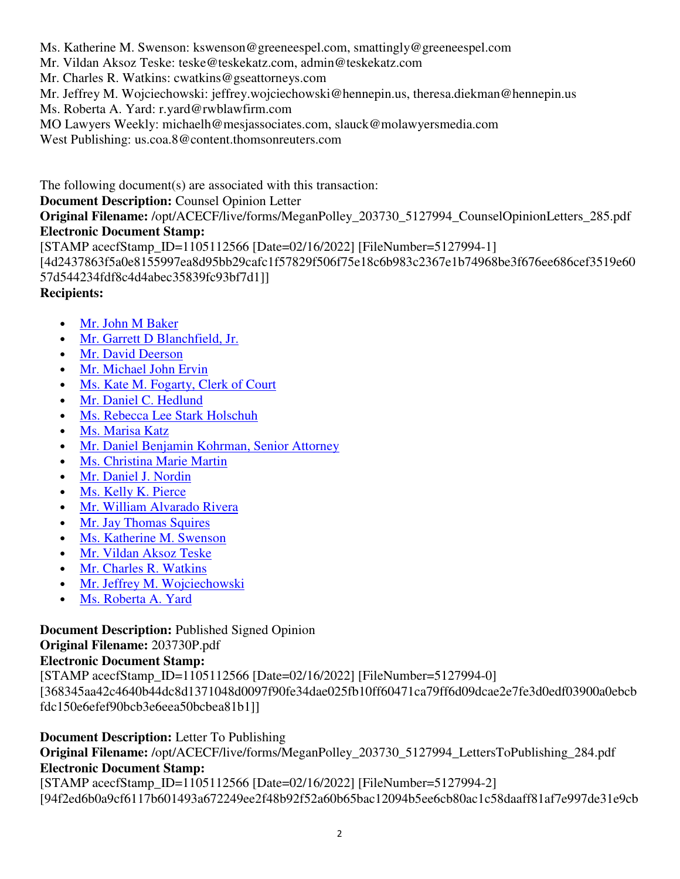Ms. Katherine M. Swenson: kswenson@greeneespel.com, smattingly@greeneespel.com

Mr. Vildan Aksoz Teske: teske@teskekatz.com, admin@teskekatz.com

Mr. Charles R. Watkins: cwatkins@gseattorneys.com

Mr. Jeffrey M. Wojciechowski: jeffrey.wojciechowski@hennepin.us, theresa.diekman@hennepin.us

Ms. Roberta A. Yard: r.yard@rwblawfirm.com

MO Lawyers Weekly: michaelh@mesjassociates.com, slauck@molawyersmedia.com

West Publishing: us.coa.8@content.thomsonreuters.com

The following document(s) are associated with this transaction:

### **Document Description:** Counsel Opinion Letter

**Original Filename:** /opt/ACECF/live/forms/MeganPolley\_203730\_5127994\_CounselOpinionLetters\_285.pdf **Electronic Document Stamp:**

[STAMP acecfStamp\_ID=1105112566 [Date=02/16/2022] [FileNumber=5127994-1]

[4d2437863f5a0e8155997ea8d95bb29cafc1f57829f506f75e18c6b983c2367e1b74968be3f676ee686cef3519e60 57d544234fdf8c4d4abec35839fc93bf7d1]]

# **Recipients:**

- Mr. John M Baker
- Mr. Garrett D Blanchfield, Jr.
- Mr. David Deerson
- Mr. Michael John Ervin
- Ms. Kate M. Fogarty, Clerk of Court
- Mr. Daniel C. Hedlund
- Ms. Rebecca Lee Stark Holschuh
- Ms. Marisa Katz
- Mr. Daniel Benjamin Kohrman, Senior Attorney
- Ms. Christina Marie Martin
- Mr. Daniel J. Nordin
- Ms. Kelly K. Pierce
- Mr. William Alvarado Rivera
- Mr. Jay Thomas Squires
- Ms. Katherine M. Swenson
- Mr. Vildan Aksoz Teske
- Mr. Charles R. Watkins
- Mr. Jeffrey M. Wojciechowski
- Ms. Roberta A. Yard

# **Document Description:** Published Signed Opinion

# **Original Filename:** 203730P.pdf

# **Electronic Document Stamp:**

[STAMP acecfStamp\_ID=1105112566 [Date=02/16/2022] [FileNumber=5127994-0]

[368345aa42c4640b44dc8d1371048d0097f90fe34dae025fb10ff60471ca79ff6d09dcae2e7fe3d0edf03900a0ebcb fdc150e6efef90bcb3e6eea50bcbea81b1]]

# **Document Description:** Letter To Publishing

**Original Filename:** /opt/ACECF/live/forms/MeganPolley\_203730\_5127994\_LettersToPublishing\_284.pdf **Electronic Document Stamp:**

[STAMP acecfStamp\_ID=1105112566 [Date=02/16/2022] [FileNumber=5127994-2] [94f2ed6b0a9cf6117b601493a672249ee2f48b92f52a60b65bac12094b5ee6cb80ac1c58daaff81af7e997de31e9cb